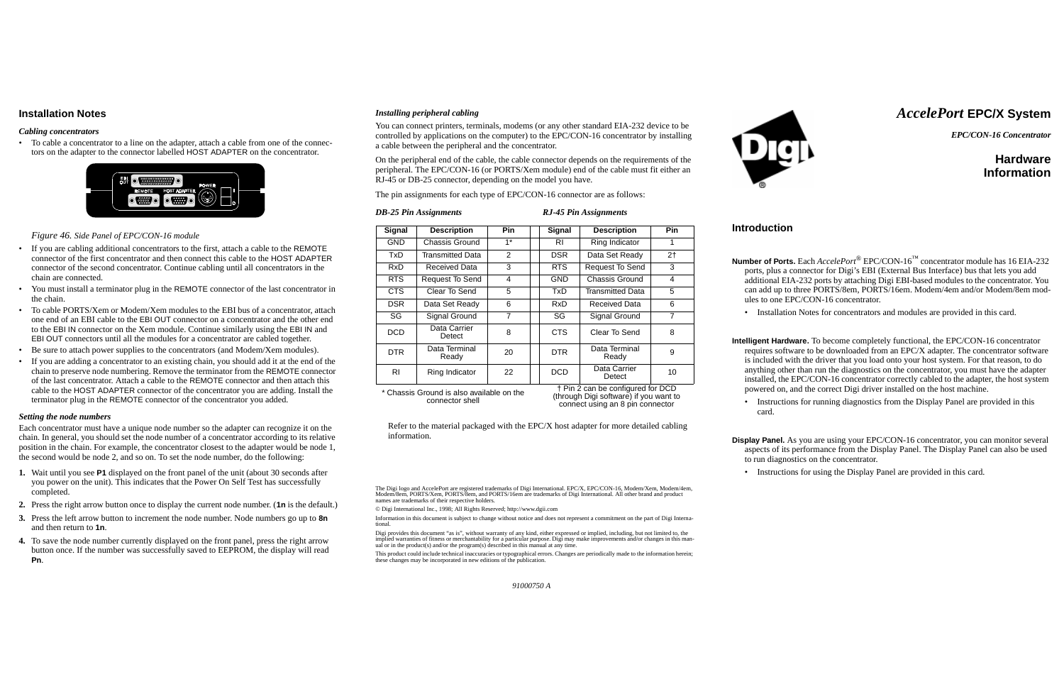# **Installation Notes**

#### *Cabling concentrators*

• To cable a concentrator to a line on the adapter, attach a cable from one of the connectors on the adapter to the connector labelled HOST ADAPTER on the concentrator.



*Figure 46. Side Panel of EPC/CON-16 module*

- If you are cabling additional concentrators to the first, attach a cable to the REMOTE connector of the first concentrator and then connect this cable to the HOST ADAPTER connector of the second concentrator. Continue cabling until all concentrators in the chain are connected.
- You must install a terminator plug in the REMOTE connector of the last concentrator in the chain.
- To cable PORTS/Xem or Modem/Xem modules to the EBI bus of a concentrator, attach one end of an EBI cable to the EBI OUT connector on a concentrator and the other end to the EBI IN connector on the Xem module. Continue similarly using the EBI IN and EBI OUT connectors until all the modules for a concentrator are cabled together.
- Be sure to attach power supplies to the concentrators (and Modem/Xem modules).
- If you are adding a concentrator to an existing chain, you should add it at the end of the chain to preserve node numbering. Remove the terminator from the REMOTE connector of the last concentrator. Attach a cable to the REMOTE connector and then attach this cable to the HOST ADAPTER connector of the concentrator you are adding. Install the terminator plug in the REMOTE connector of the concentrator you added.

#### *Setting the node numbers*

Each concentrator must have a unique node number so the adapter can recognize it on the chain. In general, you should set the node number of a concentrator according to its relative position in the chain. For example, the concentrator closest to the adapter would be node 1, the second would be node 2, and so on. To set the node number, do the following:

- **1.** Wait until you see **P1** displayed on the front panel of the unit (about 30 seconds after you power on the unit). This indicates that the Power On Self Test has successfully completed.
- **2.** Press the right arrow button once to display the current node number. (**1n** is the default.)
- **3.** Press the left arrow button to increment the node number. Node numbers go up to **8n** and then return to **1n**.
- **4.** To save the node number currently displayed on the front panel, press the right arrow button once. If the number was successfully saved to EEPROM, the display will read **Pn**.

### *Installing peripheral cabling*

You can connect printers, terminals, modems (or any other standard EIA-232 device to be controlled by applications on the computer) to the EPC/CON-16 concentrator by installing a cable between the peripheral and the concentrator.

On the peripheral end of the cable, the cable connector depends on the requirements of the peripheral. The EPC/CON-16 (or PORTS/Xem module) end of the cable must fit either an RJ-45 or DB-25 connector, depending on the model you have.

The pin assignments for each type of EPC/CON-16 connector are as follows:

*DB-25 Pin Assignments RJ-45 Pin Assignments*

Refer to the material packaged with the EPC/X host adapter for more detailed cabling information.

The Digi logo and AccelePort are registered trademarks of Digi International. EPC/X, EPC/CON-16, Modem/Xem, Modem/4em, Modem/8em, PORTS/Xem, PORTS/8em, and PORTS/16em are trademarks of Digi International. All other brand and product names are trademarks of their respective holders.

© Digi International Inc., 1998; All Rights Reserved; http://www.dgii.com

Information in this document is subject to change without notice and does not represent a commitment on the part of Digi International.

Digi provides this document "as is", without warranty of any kind, either expressed or implied, including, but not limited to, the implied warranties of fitness or merchantability for a particular purpose. Digi may make improvements and/or changes in this manual or in the product(s) and/or the program(s) described in this manual at any time.

This product could include technical inaccuracies or typographical errors. Changes are periodically made to the information herein; these changes may be incorporated in new editions of the publication.



# *AccelePort* **EPC/X System**

*EPC/CON-16 Concentrator*

# **HardwareInformation**

#### **Introduction**

**Number of Ports.** Each *AccelePort*® EPC/CON-16™ concentrator module has 16 EIA-232 ports, plus a connector for Digi's EBI (External Bus Interface) bus that lets you add additional EIA-232 ports by attaching Digi EBI-based modules to the concentrator. You can add up to three PORTS/8em, PORTS/16em. Modem/4em and/or Modem/8em modules to one EPC/CON-16 concentrator.

• Installation Notes for concentrators and modules are provided in this card.

**Intelligent Hardware.** To become completely functional, the EPC/CON-16 concentrator requires software to be downloaded from an EPC/X adapter. The concentrator software is included with the driver that you load onto your host system. For that reason, to do anything other than run the diagnostics on the concentrator, you must have the adapter installed, the EPC/CON-16 concentrator correctly cabled to the adapter, the host system powered on, and the correct Digi driver installed on the host machine.

• Instructions for running diagnostics from the Display Panel are provided in this

card.

**Display Panel.** As you are using your EPC/CON-16 concentrator, you can monitor several aspects of its performance from the Display Panel. The Display Panel can also be used to run diagnostics on the concentrator.

• Instructions for using the Display Panel are provided in this card.

| <b>Signal</b>                      | <b>Description</b>     | <b>Pin</b>     |  | <b>Signal</b> | <b>Description</b>      | Pin            |
|------------------------------------|------------------------|----------------|--|---------------|-------------------------|----------------|
| <b>GND</b>                         | Chassis Ground         | $1^*$          |  | RI            | Ring Indicator          | 1              |
| <b>TxD</b>                         | Transmitted Data       | 2              |  | <b>DSR</b>    | Data Set Ready          | 2 <sub>1</sub> |
| <b>RxD</b>                         | Received Data          | 3              |  | <b>RTS</b>    | <b>Request To Send</b>  | 3              |
| <b>RTS</b>                         | Request To Send        | 4              |  | <b>GND</b>    | Chassis Ground          | 4              |
| <b>CTS</b>                         | Clear To Send          | 5              |  | <b>TxD</b>    | <b>Transmitted Data</b> | 5              |
| <b>DSR</b>                         | Data Set Ready         | 6              |  | RxD           | Received Data           | 6              |
| SG                                 | Signal Ground          | $\overline{7}$ |  | SG            | Signal Ground           | $\overline{7}$ |
| <b>DCD</b>                         | Data Carrier<br>Detect | 8              |  | <b>CTS</b>    | Clear To Send           | 8              |
| <b>DTR</b>                         | Data Terminal<br>Ready | 20             |  | DTR.          | Data Terminal<br>Ready  | 9              |
| <b>RI</b>                          | Ring Indicator         | 22             |  | <b>DCD</b>    | Data Carrier<br>Detect  | 10             |
| t Din 2 can he configured for DCD. |                        |                |  |               |                         |                |

\* Chassis Ground is also available on the connector shell

† Pin 2 can be configured for DCD (through Digi software) if you want to connect using an 8 pin connector